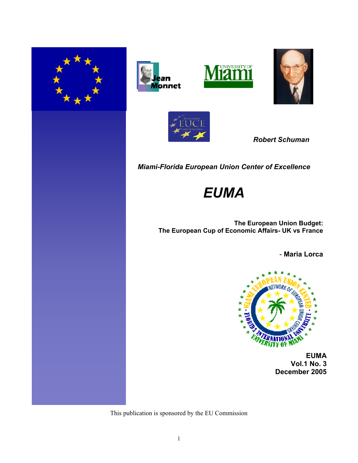









 *Robert Schuman*

*Miami-Florida European Union Center of Excellence* 

# *EUMA*

**The European Union Budget: The European Cup of Economic Affairs- UK vs France**

- **Maria Lorca**



 **EUMA Vol.1 No. 3 December 2005**

This publication is sponsored by the EU Commission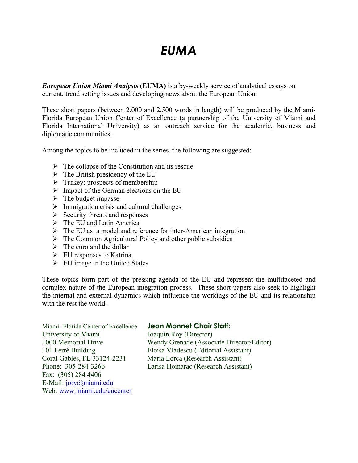# *EUMA*

*European Union Miami Analysis* **(EUMA)** is a by-weekly service of analytical essays on current, trend setting issues and developing news about the European Union.

These short papers (between 2,000 and 2,500 words in length) will be produced by the Miami-Florida European Union Center of Excellence (a partnership of the University of Miami and Florida International University) as an outreach service for the academic, business and diplomatic communities.

Among the topics to be included in the series, the following are suggested:

- $\triangleright$  The collapse of the Constitution and its rescue
- $\triangleright$  The British presidency of the EU
- $\triangleright$  Turkey: prospects of membership
- $\triangleright$  Impact of the German elections on the EU
- $\triangleright$  The budget impasse
- $\triangleright$  Immigration crisis and cultural challenges
- $\triangleright$  Security threats and responses
- $\triangleright$  The EU and Latin America
- $\triangleright$  The EU as a model and reference for inter-American integration
- $\triangleright$  The Common Agricultural Policy and other public subsidies
- $\triangleright$  The euro and the dollar
- $\triangleright$  EU responses to Katrina
- $\triangleright$  EU image in the United States

These topics form part of the pressing agenda of the EU and represent the multifaceted and complex nature of the European integration process. These short papers also seek to highlight the internal and external dynamics which influence the workings of the EU and its relationship with the rest the world.

Miami- Florida Center of Excellence **Jean Monnet Chair Staff:** University of Miami Joaquín Roy (Director) Coral Gables, FL 33124-2231 Maria Lorca (Research Assistant) Fax: (305) 284 4406 E-Mail: jroy@miami.edu Web: www.miami.edu/eucenter

1000 Memorial Drive Wendy Grenade (Associate Director/Editor) 101 Ferré Building Eloisa Vladescu (Editorial Assistant) Phone: 305-284-3266 Larisa Homarac (Research Assistant)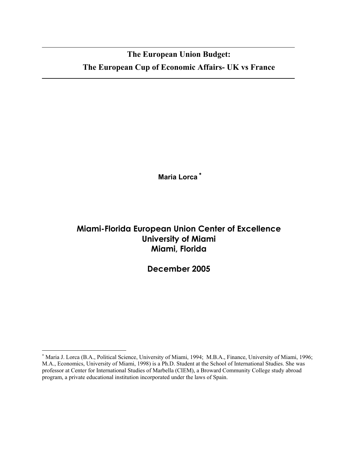## **The European Union Budget: The European Cup of Economic Affairs- UK vs France**

**Maria Lorca** <sup>∗</sup>

### **Miami-Florida European Union Center of Excellence University of Miami Miami, Florida**

**December 2005**

 $\overline{a}$ 

<sup>∗</sup> Maria J. Lorca (B.A., Political Science, University of Miami, 1994; M.B.A., Finance, University of Miami, 1996; M.A., Economics, University of Miami, 1998) is a Ph.D. Student at the School of International Studies. She was professor at Center for International Studies of Marbella (CIEM), a Broward Community College study abroad program, a private educational institution incorporated under the laws of Spain.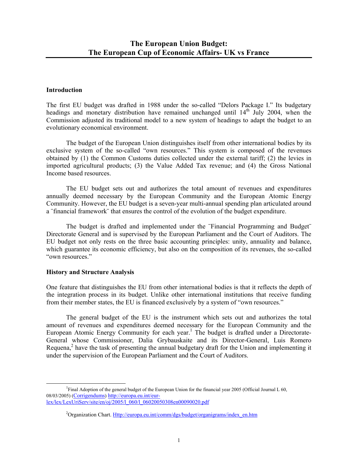#### **Introduction**

The first EU budget was drafted in 1988 under the so-called "Delors Package I." Its budgetary headings and monetary distribution have remained unchanged until  $14<sup>th</sup>$  July 2004, when the Commission adjusted its traditional model to a new system of headings to adapt the budget to an evolutionary economical environment.

 The budget of the European Union distinguishes itself from other international bodies by its exclusive system of the so-called "own resources." This system is composed of the revenues obtained by (1) the Common Customs duties collected under the external tariff; (2) the levies in imported agricultural products; (3) the Value Added Tax revenue; and (4) the Gross National Income based resources.

 The EU budget sets out and authorizes the total amount of revenues and expenditures annually deemed necessary by the European Community and the European Atomic Energy Community. However, the EU budget is a seven-year multi-annual spending plan articulated around a ¨financial framework¨ that ensures the control of the evolution of the budget expenditure.

 The budget is drafted and implemented under the ¨Financial Programming and Budget¨ Directorate General and is supervised by the European Parliament and the Court of Auditors. The EU budget not only rests on the three basic accounting principles: unity, annuality and balance, which guarantee its economic efficiency, but also on the composition of its revenues, the so-called "own resources."

#### **History and Structure Analysis**

One feature that distinguishes the EU from other international bodies is that it reflects the depth of the integration process in its budget. Unlike other international institutions that receive funding from their member states, the EU is financed exclusively by a system of "own resources."

 The general budget of the EU is the instrument which sets out and authorizes the total amount of revenues and expenditures deemed necessary for the European Community and the European Atomic Energy Community for each year.<sup>1</sup> The budget is drafted under a Directorate-General whose Commissioner, Dalia Grybauskaite and its Director-General, Luis Romero Requena, $<sup>2</sup>$  have the task of presenting the annual budgetary draft for the Union and implementing it</sup> under the supervision of the European Parliament and the Court of Auditors.

<sup>&</sup>lt;u>1</u> <sup>1</sup>Final Adoption of the general budget of the European Union for the financial year 2005 (Official Journal L 60, 08/03/2005) (Corrigendums) http://europa.eu.int/eurlex/lex/LexUriServ/site/en/oj/2005/l\_060/l\_06020050308en00090020.pdf

<sup>&</sup>lt;sup>2</sup>Organization Chart. Http://europa.eu.int/comm/dgs/budget/organigrams/index\_en.htm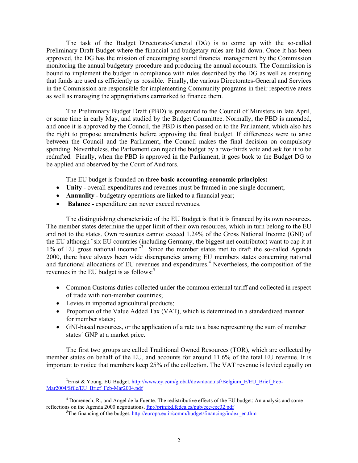The task of the Budget Directorate-General (DG) is to come up with the so-called Preliminary Draft Budget where the financial and budgetary rules are laid down. Once it has been approved, the DG has the mission of encouraging sound financial management by the Commission monitoring the annual budgetary procedure and producing the annual accounts. The Commission is bound to implement the budget in compliance with rules described by the DG as well as ensuring that funds are used as efficiently as possible. Finally, the various Directorates-General and Services in the Commission are responsible for implementing Community programs in their respective areas as well as managing the appropriations earmarked to finance them.

 The Preliminary Budget Draft (PBD) is presented to the Council of Ministers in late April, or some time in early May, and studied by the Budget Committee. Normally, the PBD is amended, and once it is approved by the Council, the PBD is then passed on to the Parliament, which also has the right to propose amendments before approving the final budget. If differences were to arise between the Council and the Parliament, the Council makes the final decision on compulsory spending. Nevertheless, the Parliament can reject the budget by a two-thirds vote and ask for it to be redrafted. Finally, when the PBD is approved in the Parliament, it goes back to the Budget DG to be applied and observed by the Court of Auditors.

The EU budget is founded on three **basic accounting-economic principles:** 

- **Unity** overall expenditures and revenues must be framed in one single document;
- **Annuality -** budgetary operations are linked to a financial year;
- **Balance** expenditure can never exceed revenues.

 The distinguishing characteristic of the EU Budget is that it is financed by its own resources. The member states determine the upper limit of their own resources, which in turn belong to the EU and not to the states. Own resources cannot exceed 1.24% of the Gross National Income (GNI) of the EU although ¨six EU countries (including Germany, the biggest net contributor) want to cap it at 1% of EU gross national income.<sup>3</sup> Since the member states met to draft the so-called Agenda 2000, there have always been wide discrepancies among EU members states concerning national and functional allocations of EU revenues and expenditures.<sup>4</sup> Nevertheless, the composition of the revenues in the EU budget is as follows: $5$ 

- Common Customs duties collected under the common external tariff and collected in respect of trade with non-member countries;
- Levies in imported agricultural products;
- Proportion of the Value Added Tax (VAT), which is determined in a standardized manner for member states;
- GNI-based resources, or the application of a rate to a base representing the sum of member states´ GNP at a market price.

 The first two groups are called Traditional Owned Resources (TOR), which are collected by member states on behalf of the EU, and accounts for around 11.6% of the total EU revenue. It is important to notice that members keep 25% of the collection. The VAT revenue is levied equally on

 $\overline{\phantom{a}}$ <sup>3</sup>Ernst & Young. EU Budget. http://www.ey.com/global/download.nsf/Belgium\_E/EU\_Brief\_Feb-Mar2004/\$file/EU\_Brief\_Feb-Mar2004.pdf

 $4$  Domenech, R., and Angel de la Fuente. The redistributive effects of the EU budget: An analysis and some reflections on the Agenda 2000 negotiations. ftp://prinfed.fedea.es/pub/eee/eee32.pdf

 ${}^{5}$ The financing of the budget. http://europa.eu.it/comm/budget/financing/index\_en.thm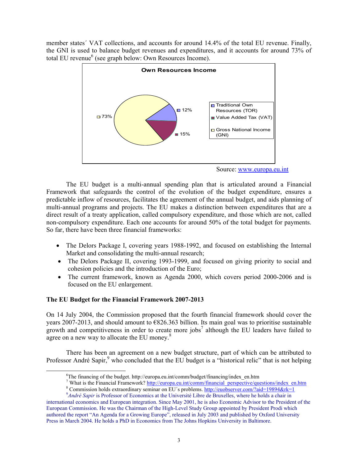member states´ VAT collections, and accounts for around 14.4% of the total EU revenue. Finally, the GNI is used to balance budget revenues and expenditures, and it accounts for around 73% of total EU revenue<sup>6</sup> (see graph below: Own Resources Income).



Source: www.europa.eu.int

 The EU budget is a multi-annual spending plan that is articulated around a Financial Framework that safeguards the control of the evolution of the budget expenditure, ensures a predictable inflow of resources, facilitates the agreement of the annual budget, and aids planning of multi-annual programs and projects. The EU makes a distinction between expenditures that are a direct result of a treaty application, called compulsory expenditure, and those which are not, called non-compulsory expenditure. Each one accounts for around 50% of the total budget for payments. So far, there have been three financial frameworks:

- The Delors Package I, covering years 1988-1992, and focused on establishing the Internal Market and consolidating the multi-annual research;
- The Delors Package II, covering 1993-1999, and focused on giving priority to social and cohesion policies and the introduction of the Euro;
- The current framework, known as Agenda 2000, which covers period 2000-2006 and is focused on the EU enlargement.

### **The EU Budget for the Financial Framework 2007-2013**

On 14 July 2004, the Commission proposed that the fourth financial framework should cover the years 2007-2013, and should amount to €826.363 billion. Its main goal was to prioritise sustainable growth and competitiveness in order to create more jobs<sup>7</sup> although the EU leaders have failed to agree on a new way to allocate the EU money.<sup>8</sup>

 There has been an agreement on a new budget structure, part of which can be attributed to Professor André Sapir,<sup>9</sup> who concluded that the EU budget is a "historical relic" that is not helping

 <sup>6</sup>  ${}^6$ The financing of the budget. http://europa.eu.int/comm/budget/financing/index\_en.htm

<sup>&</sup>lt;sup>7</sup> What is the Financial Framework? http://europa.eu.int/comm/financial\_perspective/questions/index\_en.htm

<sup>&</sup>lt;sup>8</sup> Commission holds extraordinary seminar on EU´s problems. http://euobserver.com/?aid=19894&rk=1

<sup>&</sup>lt;sup>9</sup>André Sapir is Professor of Economics at the Université Libre de Bruxelles, where he holds a chair in international economics and European integration. Since May 2001, he is also Economic Advisor to the President of the European Commission. He was the Chairman of the High-Level Study Group appointed by President Prodi which authored the report "An Agenda for a Growing Europe", released in July 2003 and published by Oxford University Press in March 2004. He holds a PhD in Economics from The Johns Hopkins University in Baltimore.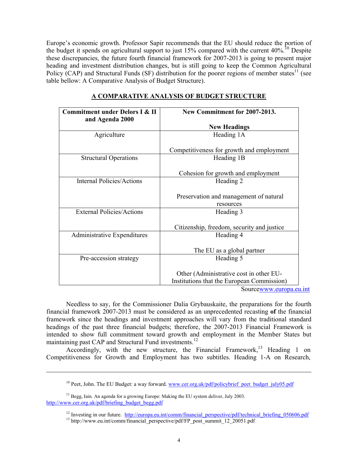Europe's economic growth. Professor Sapir recommends that the EU should reduce the portion of the budget it spends on agricultural support to just 15% compared with the current  $40\%$ .<sup>10</sup> Despite these discrepancies, the future fourth financial framework for 2007-2013 is going to present major heading and investment distribution changes, but is still going to keep the Common Agricultural Policy (CAP) and Structural Funds (SF) distribution for the poorer regions of member states<sup>11</sup> (see table bellow: A Comparative Analysis of Budget Structure).

| <b>Commitment under Delors I &amp; II</b><br>and Agenda 2000 | New Commitment for 2007-2013.                                                                                                                                                   |
|--------------------------------------------------------------|---------------------------------------------------------------------------------------------------------------------------------------------------------------------------------|
|                                                              | <b>New Headings</b>                                                                                                                                                             |
| Agriculture                                                  | Heading 1A                                                                                                                                                                      |
|                                                              | Competitiveness for growth and employment                                                                                                                                       |
| <b>Structural Operations</b>                                 | Heading 1B                                                                                                                                                                      |
|                                                              | Cohesion for growth and employment                                                                                                                                              |
| <b>Internal Policies/Actions</b>                             | Heading 2                                                                                                                                                                       |
|                                                              | Preservation and management of natural<br>resources                                                                                                                             |
| <b>External Policies/Actions</b>                             | Heading 3                                                                                                                                                                       |
|                                                              | Citizenship, freedom, security and justice                                                                                                                                      |
| <b>Administrative Expenditures</b>                           | Heading 4                                                                                                                                                                       |
|                                                              | The EU as a global partner                                                                                                                                                      |
| Pre-accession strategy                                       | Heading 5                                                                                                                                                                       |
|                                                              | Other (Administrative cost in other EU-<br>Institutions that the European Commission)<br>$C_{\alpha\beta\gamma\mu\alpha\alpha\gamma\gamma\gamma\gamma\gamma\gamma\gamma\gamma}$ |

#### **A COMPARATIVE ANALYSIS OF BUDGET STRUCTURE**

Sourcewww.europa.eu.int

 Needless to say, for the Commissioner Dalia Grybauskaite, the preparations for the fourth financial framework 2007-2013 must be considered as an unprecedented recasting **of** the financial framework since the headings and investment approaches will vary from the traditional standard headings of the past three financial budgets; therefore, the 2007-2013 Financial Framework is intended to show full commitment toward growth and employment in the Member States but maintaining past CAP and Structural Fund investments.<sup>12</sup>

Accordingly, with the new structure, the Financial Framework, <sup>13</sup> Heading 1 on Competitiveness for Growth and Employment has two subtitles. Heading 1-A on Research,

l

<sup>&</sup>lt;sup>10</sup> Peet, John. The EU Budget: a way forward. www.cer.org.uk/pdf/policybrief\_peet\_budget\_july05.pdf

<sup>&</sup>lt;sup>11</sup> Begg, Iain. An agenda for a growing Europe: Making the EU system deliver, July 2003. http://www.cer.org.uk/pdf/briefing\_budget\_begg.pdf

<sup>&</sup>lt;sup>12</sup> Investing in our future. http://europa.eu.int/comm/financial\_perspective/pdf/technical\_briefing\_050606.pdf  $^{13}$  http://www.eu.int/comm/financial\_perspective/pdf/FP\_post\_summit\_12\_20051.pdf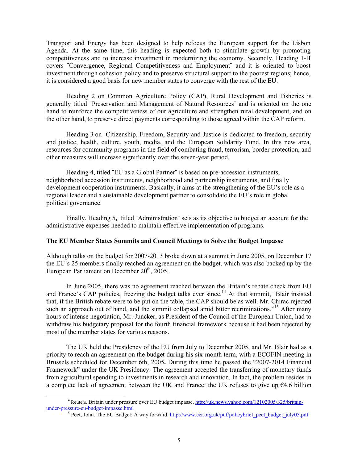Transport and Energy has been designed to help refocus the European support for the Lisbon Agenda. At the same time, this heading is expected both to stimulate growth by promoting competitiveness and to increase investment in modernizing the economy. Secondly, Heading 1-B covers ¨Convergence, Regional Competitiveness and Employment¨ and it is oriented to boost investment through cohesion policy and to preserve structural support to the poorest regions; hence, it is considered a good basis for new member states to converge with the rest of the EU.

 Heading 2 on Common Agriculture Policy (CAP), Rural Development and Fisheries is generally titled ¨Preservation and Management of Natural Resources¨ and is oriented on the one hand to reinforce the competitiveness of our agriculture and strengthen rural development, and on the other hand, to preserve direct payments corresponding to those agreed within the CAP reform.

 Heading 3 on Citizenship, Freedom, Security and Justice is dedicated to freedom, security and justice, health, culture, youth, media, and the European Solidarity Fund. In this new area, resources for community programs in the field of combating fraud, terrorism, border protection, and other measures will increase significantly over the seven-year period.

Heading 4, titled "EU as a Global Partner" is based on pre-accession instruments, neighborhood accession instruments, neighborhood and partnership instruments, and finally development cooperation instruments. Basically, it aims at the strengthening of the EU's role as a regional leader and a sustainable development partner to consolidate the EU´s role in global political governance.

 Finally, Heading 5**,** titled ¨Administration¨ sets as its objective to budget an account for the administrative expenses needed to maintain effective implementation of programs.

#### **The EU Member States Summits and Council Meetings to Solve the Budget Impasse**

Although talks on the budget for 2007-2013 broke down at a summit in June 2005, on December 17 the EU´s 25 members finally reached an agreement on the budget, which was also backed up by the European Parliament on December  $20<sup>th</sup>$ , 2005.

In June 2005, there was no agreement reached between the Britain's rebate check from EU and France's CAP policies, freezing the budget talks ever since.<sup>14</sup> At that summit, "Blair insisted" that, if the British rebate were to be put on the table, the CAP should be as well. Mr. Chirac rejected such an approach out of hand, and the summit collapsed amid bitter recriminations."<sup>15</sup> After many hours of intense negotiation, Mr. Juncker, as President of the Council of the European Union, had to withdraw his budgetary proposal for the fourth financial framework because it had been rejected by most of the member states for various reasons.

 The UK held the Presidency of the EU from July to December 2005, and Mr. Blair had as a priority to reach an agreement on the budget during his six-month term, with a ECOFIN meeting in Brussels scheduled for December 6th, 2005**.** During this time he passed the "2007-2014 Financial Framework" under the UK Presidency. The agreement accepted the transferring of monetary funds from agricultural spending to investments in research and innovation. In fact, the problem resides in a complete lack of agreement between the UK and France: the UK refuses to give up  $64.6$  billion

<sup>&</sup>lt;sup>14</sup> Reuters. Britain under pressure over EU budget impasse. http://uk.news.yahoo.com/12102005/325/britain-<br>under-pressure-eu-budget-impasse.html

<sup>&</sup>lt;sup>15</sup> Peet, John. The EU Budget: A way forward. http://www.cer.org.uk/pdf/policybrief\_peet\_budget\_july05.pdf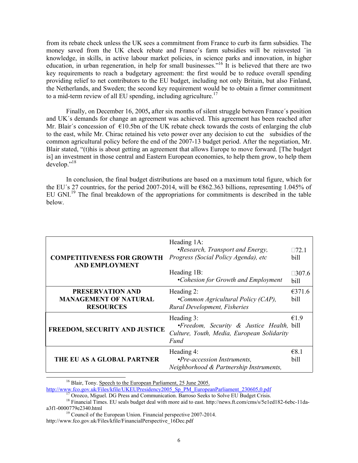from its rebate check unless the UK sees a commitment from France to curb its farm subsidies. The money saved from the UK check rebate and France's farm subsidies will be reinvested ¨in knowledge, in skills, in active labour market policies, in science parks and innovation, in higher education, in urban regeneration, in help for small businesses."<sup>16</sup> It is believed that there are two key requirements to reach a budgetary agreement: the first would be to reduce overall spending providing relief to net contributors to the EU budget, including not only Britain, but also Finland, the Netherlands, and Sweden; the second key requirement would be to obtain a firmer commitment to a mid-term review of all EU spending, including agriculture.<sup>17</sup>

 Finally, on December 16, 2005**,** after six months of silent struggle between France´s position and UK´s demands for change an agreement was achieved. This agreement has been reached after Mr. Blair's concession of  $\epsilon$ 10.5bn of the UK rebate check towards the costs of enlarging the club to the east, while Mr. Chirac retained his veto power over any decision to cut the subsidies of the common agricultural policy before the end of the 2007-13 budget period. After the negotiation, Mr. Blair stated, "(t)his is about getting an agreement that allows Europe to move forward. [The budget is] an investment in those central and Eastern European economies, to help them grow, to help them develop."<sup>18</sup>

 In conclusion, the final budget distributions are based on a maximum total figure, which for the EU's 27 countries, for the period 2007-2014, will be  $\epsilon$ 862.363 billions, representing 1.045% of EU GNI.<sup>19</sup> The final breakdown of the appropriations for commitments is described in the table below.

| <b>COMPETITIVENESS FOR GROWTH</b><br><b>AND EMPLOYMENT</b>           | Heading 1A:<br>•Research, Transport and Energy,<br>Progress (Social Policy Agenda), etc                       | $\Box$ 721<br>bill   |
|----------------------------------------------------------------------|---------------------------------------------------------------------------------------------------------------|----------------------|
|                                                                      | Heading 1B:<br>•Cohesion for Growth and Employment                                                            | $\Box$ 307.6<br>bill |
| PRESERVATION AND<br><b>MANAGEMENT OF NATURAL</b><br><b>RESOURCES</b> | Heading 2:<br>•Common Agricultural Policy (CAP),<br>Rural Development, Fisheries                              | €371.6<br>bill       |
| FREEDOM, SECURITY AND JUSTICE                                        | Heading 3:<br>•Freedom, Security & Justice Health, bill<br>Culture, Youth, Media, European Solidarity<br>Fund | €1.9                 |
| THE EU AS A GLOBAL PARTNER                                           | Heading 4:<br>•Pre-accession Instruments,<br>Neighborhood & Partnership Instruments,                          | €8.1<br>bill         |

<sup>&</sup>lt;sup>16</sup> Blair, Tony. Speech to the European Parliament, 25 June 2005.

http://www.fco.gov.uk/Files/kfile/UKEUPresidency2005\_Sp\_PM\_EuropeanParliament\_230605,0.pdf<br><sup>17</sup> Orozco, Miguel. DG Press and Communication. Barroso Seeks to Solve EU Budget Crisis.<br><sup>18</sup> Financial Times. EU seals budget dea

 $19$  Council of the European Union. Financial perspective 2007-2014. http://www.fco.gov.uk/Files/kfile/FinancialPerspective\_16Dec.pdf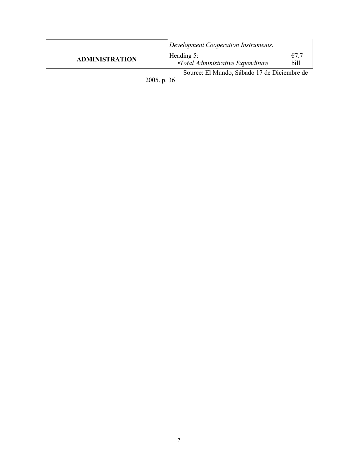|                       | Development Cooperation Instruments.                       |              |
|-----------------------|------------------------------------------------------------|--------------|
| <b>ADMINISTRATION</b> | Heading $5$ :<br>$\cdot$ Total Administrative Expenditure  | €7.7<br>bill |
|                       | Source: El Mundo, Sábado 17 de Diciembre de<br>2005. p. 36 |              |